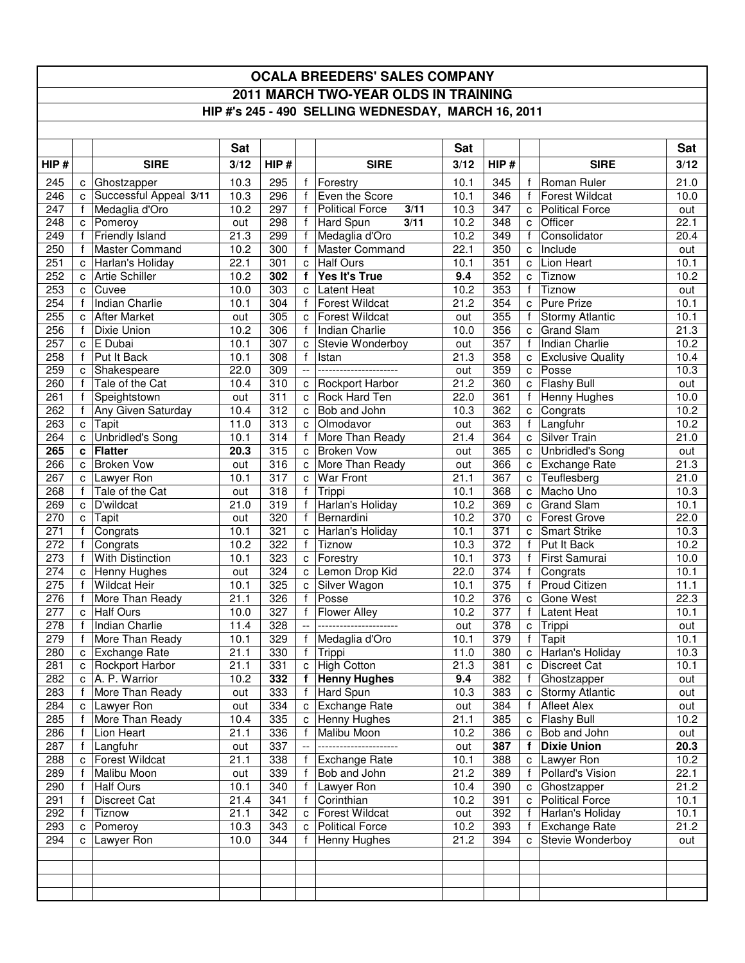## **OCALA BREEDERS' SALES COMPANY 2011 MARCH TWO-YEAR OLDS IN TRAINING HIP #'s 245 - 490 SELLING WEDNESDAY, MARCH 16, 2011**

|      |              |                          | <b>Sat</b> |                  |                           |                                | Sat  |      |              |                          | Sat  |
|------|--------------|--------------------------|------------|------------------|---------------------------|--------------------------------|------|------|--------------|--------------------------|------|
| HIP# |              | <b>SIRE</b>              | 3/12       | HIP#             |                           | <b>SIRE</b>                    | 3/12 | HIP# |              | <b>SIRE</b>              | 3/12 |
| 245  |              | c Ghostzapper            | 10.3       | 295              | f                         | Forestry                       | 10.1 | 345  |              | Roman Ruler              | 21.0 |
| 246  |              | c Successful Appeal 3/11 | 10.3       | 296              | f                         | Even the Score                 | 10.1 | 346  | f            | <b>Forest Wildcat</b>    | 10.0 |
| 247  | f            | Medaglia d'Oro           | 10.2       | 297              | f                         | <b>Political Force</b><br>3/11 | 10.3 | 347  | C            | <b>Political Force</b>   | out  |
| 248  |              | c Pomeroy                | out        | 298              | f                         | <b>Hard Spun</b><br>3/11       | 10.2 | 348  | C            | Officer                  | 22.1 |
| 249  | $\mathsf{f}$ | Friendly Island          | 21.3       | 299              | f                         | Medaglia d'Oro                 | 10.2 | 349  | $\mathbf f$  | Consolidator             | 20.4 |
| 250  | $^{\dagger}$ | Master Command           | 10.2       | 300              | $\mathbf f$               | <b>Master Command</b>          | 22.1 | 350  | c            | Include                  | out  |
| 251  |              | c Harlan's Holiday       | 22.1       | 301              | $\mathbf c$               | <b>Half Ours</b>               | 10.1 | 351  | C            | Lion Heart               | 10.1 |
| 252  |              | c Artie Schiller         | 10.2       | 302              | f                         | Yes It's True                  | 9.4  | 352  | C            | Tiznow                   | 10.2 |
| 253  | C.           | Cuvee                    | 10.0       | 303              | c                         | Latent Heat                    | 10.2 | 353  | f            | Tiznow                   | out  |
| 254  |              | Indian Charlie           | 10.1       | 304              | $\mathsf{f}$              | <b>Forest Wildcat</b>          | 21.2 | 354  | C            | <b>Pure Prize</b>        | 10.1 |
| 255  |              | c After Market           | out        | 305              | C                         | <b>Forest Wildcat</b>          | out  | 355  | f            | <b>Stormy Atlantic</b>   | 10.1 |
| 256  |              | f Dixie Union            | 10.2       | 306              |                           | f   Indian Charlie             | 10.0 | 356  | C            | <b>Grand Slam</b>        | 21.3 |
| 257  |              | c E Dubai                | 10.1       | 307              | C                         | Stevie Wonderboy               | out  | 357  | $\mathsf{f}$ | Indian Charlie           | 10.2 |
| 258  |              | f Put It Back            | 10.1       | 308              | $\mathsf{f}$              | Istan                          | 21.3 | 358  | C            | <b>Exclusive Quality</b> | 10.4 |
| 259  |              | c Shakespeare            | 22.0       | 309              | $\mathbb{L}^{\mathbb{L}}$ | ----------------------         | out  | 359  | C            | Posse                    | 10.3 |
| 260  |              | Tale of the Cat          | 10.4       | 310              | C                         | <b>Rockport Harbor</b>         | 21.2 | 360  | C            | Flashy Bull              | out  |
| 261  |              | Speightstown             | out        | 311              | C                         | Rock Hard Ten                  | 22.0 | 361  |              | Henny Hughes             | 10.0 |
| 262  | Ť.           | Any Given Saturday       | 10.4       | 312              | C                         | Bob and John                   | 10.3 | 362  | c            | Congrats                 | 10.2 |
| 263  | $\mathbf{C}$ | Tapit                    | 11.0       | 313              | C                         | Olmodavor                      | out  | 363  | $\mathsf{f}$ | Langfuhr                 | 10.2 |
| 264  |              | c Unbridled's Song       | 10.1       | $\overline{314}$ | $\mathbf{f}$              | More Than Ready                | 21.4 | 364  | C            | Silver Train             | 21.0 |
| 265  |              | c Flatter                | 20.3       | 315              | C                         | <b>Broken Vow</b>              | out  | 365  | C            | <b>Unbridled's Song</b>  | out  |
| 266  | $\mathbf{C}$ | <b>Broken Vow</b>        | out        | 316              | C                         | More Than Ready                | out  | 366  | c            | <b>Exchange Rate</b>     | 21.3 |
| 267  |              | c Lawyer Ron             | 10.1       | $\overline{317}$ | c                         | War Front                      | 21.1 | 367  | C            | Teuflesberg              | 21.0 |
| 268  | f            | Tale of the Cat          | out        | 318              | $\mathbf{f}$              | Trippi                         | 10.1 | 368  | C            | Macho Uno                | 10.3 |
| 269  | C            | D'wildcat                | 21.0       | 319              | f                         | Harlan's Holiday               | 10.2 | 369  | C            | <b>Grand Slam</b>        | 10.1 |
| 270  | C            | Tapit                    | out        | 320              | $\mathsf{f}$              | Bernardini                     | 10.2 | 370  | C            | <b>Forest Grove</b>      | 22.0 |
| 271  | f            | Congrats                 | 10.1       | 321              | c                         | Harlan's Holiday               | 10.1 | 371  | C            | <b>Smart Strike</b>      | 10.3 |
| 272  |              | Congrats                 | 10.2       | 322              | $\mathsf{f}$              | Tiznow                         | 10.3 | 372  | f            | Put It Back              | 10.2 |
| 273  |              | <b>With Distinction</b>  | 10.1       | 323              | C                         | Forestry                       | 10.1 | 373  |              | First Samurai            | 10.0 |
| 274  |              | c Henny Hughes           | out        | 324              | C                         | Lemon Drop Kid                 | 22.0 | 374  | f            | Congrats                 | 10.1 |
| 275  |              | <b>Wildcat Heir</b>      | 10.1       | 325              | $\mathbf C$               | Silver Wagon                   | 10.1 | 375  |              | Proud Citizen            | 11.1 |
| 276  |              | f More Than Ready        | 21.1       | 326              | f                         | Posse                          | 10.2 | 376  | C            | Gone West                | 22.3 |
| 277  |              | c Half Ours              | 10.0       | 327              | $\mathsf{f}$              | <b>Flower Alley</b>            | 10.2 | 377  | $\mathbf f$  | Latent Heat              | 10.1 |
| 278  | $\mathbf{f}$ | Indian Charlie           | 11.4       | 328              | $\bar{\phantom{a}}$       | ----------------------         | out  | 378  | с            | Trippi                   | out  |
| 279  | $\mathbf{f}$ | More Than Ready          | 10.1       | 329              | $\mathsf{f}$              | Medaglia d'Oro                 | 10.1 | 379  | $\mathsf{f}$ | Tapit                    | 10.1 |
| 280  |              | c Exchange Rate          | 21.1       | 330              |                           | f Trippi                       | 11.0 | 380  | C            | Harlan's Holiday         | 10.3 |
| 281  |              | c Rockport Harbor        | 21.1       | 331              | $\mathtt{C}$              | High Cotton                    | 21.3 | 381  | $\mathbf{C}$ | <b>Discreet Cat</b>      | 10.1 |
| 282  |              | c A. P. Warrior          | 10.2       | 332              |                           | f Henny Hughes                 | 9.4  | 382  |              | f Ghostzapper            | out  |
| 283  |              | f   More Than Ready      | out        | 333              | f                         | Hard Spun                      | 10.3 | 383  |              | c Stormy Atlantic        | out  |
| 284  |              | c Lawyer Ron             | out        | 334              | c                         | Exchange Rate                  | out  | 384  | $\mathbf{f}$ | <b>Afleet Alex</b>       | out  |
| 285  |              | More Than Ready          | 10.4       | 335              | C                         | Henny Hughes                   | 21.1 | 385  | C            | Flashy Bull              | 10.2 |
| 286  |              | Lion Heart               | 21.1       | 336              | f                         | Malibu Moon                    | 10.2 | 386  | C            | Bob and John             | out  |
| 287  |              | Langfuhr                 | out        | 337              | $\overline{a}$            | ----------------------         | out  | 387  | $\mathbf f$  | <b>Dixie Union</b>       | 20.3 |
| 288  |              | c Forest Wildcat         | 21.1       | 338              | f                         | Exchange Rate                  | 10.1 | 388  | c            | Lawyer Ron               | 10.2 |
| 289  |              | Malibu Moon              | out        | 339              | f                         | Bob and John                   | 21.2 | 389  |              | Pollard's Vision         | 22.1 |
| 290  |              | <b>Half Ours</b>         | 10.1       | 340              | f                         | Lawyer Ron                     | 10.4 | 390  | C            | Ghostzapper              | 21.2 |
| 291  |              | Discreet Cat             | 21.4       | 341              | f                         | Corinthian                     | 10.2 | 391  | с            | <b>Political Force</b>   | 10.1 |
| 292  |              | Tiznow                   | 21.1       | 342              | C                         | <b>Forest Wildcat</b>          | out  | 392  |              | Harlan's Holiday         | 10.1 |
| 293  | C            | Pomeroy                  | 10.3       | 343              | C                         | <b>Political Force</b>         | 10.2 | 393  |              | Exchange Rate            | 21.2 |
| 294  |              | c   Lawyer Ron           | 10.0       | 344              | f                         | <b>Henny Hughes</b>            | 21.2 | 394  | с            | Stevie Wonderboy         | out  |
|      |              |                          |            |                  |                           |                                |      |      |              |                          |      |
|      |              |                          |            |                  |                           |                                |      |      |              |                          |      |
|      |              |                          |            |                  |                           |                                |      |      |              |                          |      |
|      |              |                          |            |                  |                           |                                |      |      |              |                          |      |